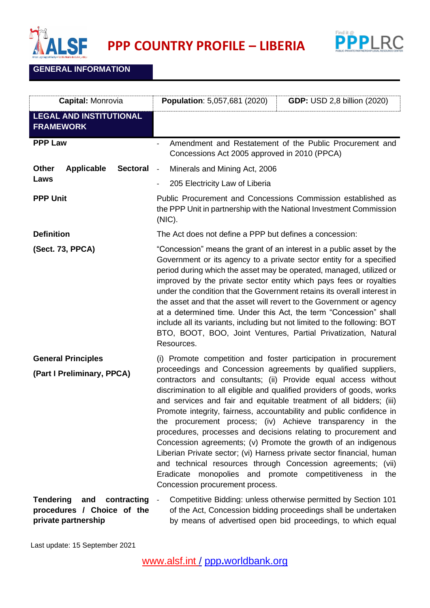



## **GENERAL INFORMATION**

| Capital: Monrovia                                                                           | <b>Population: 5,057,681 (2020)</b><br><b>GDP: USD 2,8 billion (2020)</b>                                                                                                                                                                                                                                                                                                                                                                                                                                                                                                                                                                                                                                                                                                                                                                                               |
|---------------------------------------------------------------------------------------------|-------------------------------------------------------------------------------------------------------------------------------------------------------------------------------------------------------------------------------------------------------------------------------------------------------------------------------------------------------------------------------------------------------------------------------------------------------------------------------------------------------------------------------------------------------------------------------------------------------------------------------------------------------------------------------------------------------------------------------------------------------------------------------------------------------------------------------------------------------------------------|
| <b>LEGAL AND INSTITUTIONAL</b><br><b>FRAMEWORK</b>                                          |                                                                                                                                                                                                                                                                                                                                                                                                                                                                                                                                                                                                                                                                                                                                                                                                                                                                         |
| <b>PPP Law</b>                                                                              | Amendment and Restatement of the Public Procurement and<br>Concessions Act 2005 approved in 2010 (PPCA)                                                                                                                                                                                                                                                                                                                                                                                                                                                                                                                                                                                                                                                                                                                                                                 |
| <b>Other</b><br><b>Applicable</b><br><b>Sectoral</b>                                        | Minerals and Mining Act, 2006<br>$\sim$                                                                                                                                                                                                                                                                                                                                                                                                                                                                                                                                                                                                                                                                                                                                                                                                                                 |
| Laws                                                                                        | 205 Electricity Law of Liberia<br>$\overline{\phantom{a}}$                                                                                                                                                                                                                                                                                                                                                                                                                                                                                                                                                                                                                                                                                                                                                                                                              |
| <b>PPP Unit</b>                                                                             | Public Procurement and Concessions Commission established as<br>the PPP Unit in partnership with the National Investment Commission<br>(NIC).                                                                                                                                                                                                                                                                                                                                                                                                                                                                                                                                                                                                                                                                                                                           |
| <b>Definition</b>                                                                           | The Act does not define a PPP but defines a concession:                                                                                                                                                                                                                                                                                                                                                                                                                                                                                                                                                                                                                                                                                                                                                                                                                 |
| (Sect. 73, PPCA)                                                                            | "Concession" means the grant of an interest in a public asset by the<br>Government or its agency to a private sector entity for a specified<br>period during which the asset may be operated, managed, utilized or<br>improved by the private sector entity which pays fees or royalties<br>under the condition that the Government retains its overall interest in<br>the asset and that the asset will revert to the Government or agency<br>at a determined time. Under this Act, the term "Concession" shall<br>include all its variants, including but not limited to the following: BOT<br>BTO, BOOT, BOO, Joint Ventures, Partial Privatization, Natural<br>Resources.                                                                                                                                                                                           |
| <b>General Principles</b><br>(Part I Preliminary, PPCA)                                     | (i) Promote competition and foster participation in procurement<br>proceedings and Concession agreements by qualified suppliers,<br>contractors and consultants; (ii) Provide equal access without<br>discrimination to all eligible and qualified providers of goods, works<br>and services and fair and equitable treatment of all bidders; (iii)<br>Promote integrity, fairness, accountability and public confidence in<br>the procurement process; (iv) Achieve transparency in the<br>procedures, processes and decisions relating to procurement and<br>Concession agreements; (v) Promote the growth of an indigenous<br>Liberian Private sector; (vi) Harness private sector financial, human<br>and technical resources through Concession agreements; (vii)<br>Eradicate monopolies and promote competitiveness in<br>the<br>Concession procurement process. |
| <b>Tendering</b><br>and<br>contracting<br>procedures / Choice of the<br>private partnership | Competitive Bidding: unless otherwise permitted by Section 101<br>of the Act, Concession bidding proceedings shall be undertaken<br>by means of advertised open bid proceedings, to which equal                                                                                                                                                                                                                                                                                                                                                                                                                                                                                                                                                                                                                                                                         |

Last update: 15 September 2021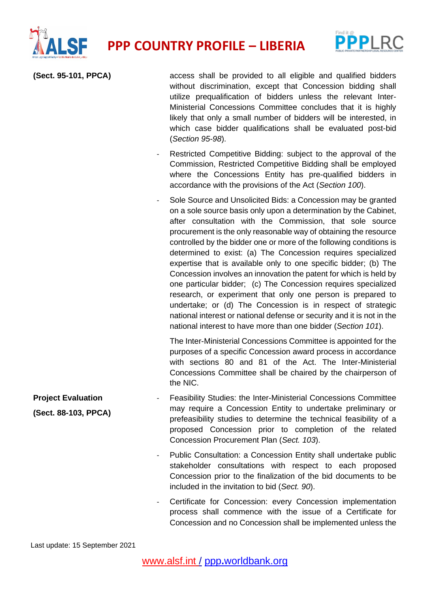



| (Sect. 95-101, PPCA)                              | access shall be provided to all eligible and qualified bidders<br>without discrimination, except that Concession bidding shall<br>utilize prequalification of bidders unless the relevant Inter-<br>Ministerial Concessions Committee concludes that it is highly<br>likely that only a small number of bidders will be interested, in<br>which case bidder qualifications shall be evaluated post-bid<br>(Section 95-98).                                                                                                                                                                                                                                                                                                                                                                                                                                                                   |
|---------------------------------------------------|----------------------------------------------------------------------------------------------------------------------------------------------------------------------------------------------------------------------------------------------------------------------------------------------------------------------------------------------------------------------------------------------------------------------------------------------------------------------------------------------------------------------------------------------------------------------------------------------------------------------------------------------------------------------------------------------------------------------------------------------------------------------------------------------------------------------------------------------------------------------------------------------|
|                                                   | Restricted Competitive Bidding: subject to the approval of the<br>Commission, Restricted Competitive Bidding shall be employed<br>where the Concessions Entity has pre-qualified bidders in<br>accordance with the provisions of the Act (Section 100).                                                                                                                                                                                                                                                                                                                                                                                                                                                                                                                                                                                                                                      |
|                                                   | Sole Source and Unsolicited Bids: a Concession may be granted<br>on a sole source basis only upon a determination by the Cabinet,<br>after consultation with the Commission, that sole source<br>procurement is the only reasonable way of obtaining the resource<br>controlled by the bidder one or more of the following conditions is<br>determined to exist: (a) The Concession requires specialized<br>expertise that is available only to one specific bidder; (b) The<br>Concession involves an innovation the patent for which is held by<br>one particular bidder; (c) The Concession requires specialized<br>research, or experiment that only one person is prepared to<br>undertake; or (d) The Concession is in respect of strategic<br>national interest or national defense or security and it is not in the<br>national interest to have more than one bidder (Section 101). |
|                                                   | The Inter-Ministerial Concessions Committee is appointed for the<br>purposes of a specific Concession award process in accordance<br>with sections 80 and 81 of the Act. The Inter-Ministerial<br>Concessions Committee shall be chaired by the chairperson of<br>the NIC.                                                                                                                                                                                                                                                                                                                                                                                                                                                                                                                                                                                                                   |
| <b>Project Evaluation</b><br>(Sect. 88-103, PPCA) | Feasibility Studies: the Inter-Ministerial Concessions Committee<br>may require a Concession Entity to undertake preliminary or<br>prefeasibility studies to determine the technical feasibility of a<br>proposed Concession prior to completion of the related<br>Concession Procurement Plan (Sect. 103).                                                                                                                                                                                                                                                                                                                                                                                                                                                                                                                                                                                  |
|                                                   | Public Consultation: a Concession Entity shall undertake public                                                                                                                                                                                                                                                                                                                                                                                                                                                                                                                                                                                                                                                                                                                                                                                                                              |

- stakeholder consultations with respect to each proposed Concession prior to the finalization of the bid documents to be included in the invitation to bid (*Sect. 90*).
- Certificate for Concession: every Concession implementation process shall commence with the issue of a Certificate for Concession and no Concession shall be implemented unless the

Last update: 15 September 2021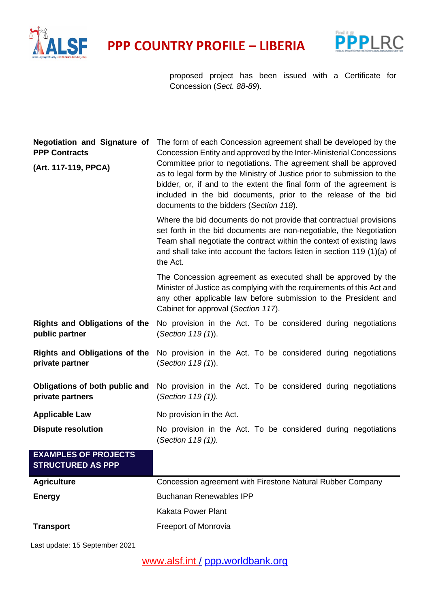



proposed project has been issued with a Certificate for Concession (*Sect. 88-89*).

| <b>PPP Contracts</b><br>(Art. 117-119, PPCA)            | Negotiation and Signature of The form of each Concession agreement shall be developed by the<br>Concession Entity and approved by the Inter-Ministerial Concessions<br>Committee prior to negotiations. The agreement shall be approved<br>as to legal form by the Ministry of Justice prior to submission to the<br>bidder, or, if and to the extent the final form of the agreement is<br>included in the bid documents, prior to the release of the bid<br>documents to the bidders (Section 118). |
|---------------------------------------------------------|-------------------------------------------------------------------------------------------------------------------------------------------------------------------------------------------------------------------------------------------------------------------------------------------------------------------------------------------------------------------------------------------------------------------------------------------------------------------------------------------------------|
|                                                         | Where the bid documents do not provide that contractual provisions<br>set forth in the bid documents are non-negotiable, the Negotiation<br>Team shall negotiate the contract within the context of existing laws<br>and shall take into account the factors listen in section 119 (1)(a) of<br>the Act.                                                                                                                                                                                              |
|                                                         | The Concession agreement as executed shall be approved by the<br>Minister of Justice as complying with the requirements of this Act and<br>any other applicable law before submission to the President and<br>Cabinet for approval (Section 117).                                                                                                                                                                                                                                                     |
| <b>Rights and Obligations of the</b><br>public partner  | No provision in the Act. To be considered during negotiations<br>(Section 119 (1)).                                                                                                                                                                                                                                                                                                                                                                                                                   |
| <b>Rights and Obligations of the</b><br>private partner | No provision in the Act. To be considered during negotiations<br>(Section 119 (1)).                                                                                                                                                                                                                                                                                                                                                                                                                   |
| Obligations of both public and<br>private partners      | No provision in the Act. To be considered during negotiations<br>(Section 119 (1)).                                                                                                                                                                                                                                                                                                                                                                                                                   |
| <b>Applicable Law</b>                                   | No provision in the Act.                                                                                                                                                                                                                                                                                                                                                                                                                                                                              |
| <b>Dispute resolution</b>                               | No provision in the Act. To be considered during negotiations<br>(Section 119 (1)).                                                                                                                                                                                                                                                                                                                                                                                                                   |
| <b>EXAMPLES OF PROJECTS</b><br><b>STRUCTURED AS PPP</b> |                                                                                                                                                                                                                                                                                                                                                                                                                                                                                                       |
| <b>Agriculture</b>                                      | Concession agreement with Firestone Natural Rubber Company                                                                                                                                                                                                                                                                                                                                                                                                                                            |
| <b>Energy</b>                                           | <b>Buchanan Renewables IPP</b>                                                                                                                                                                                                                                                                                                                                                                                                                                                                        |
|                                                         | <b>Kakata Power Plant</b>                                                                                                                                                                                                                                                                                                                                                                                                                                                                             |

## **Transport Freeport of Monrovia**

Last update: 15 September 2021

[www.alsf.int](http://www.alsf.int/) / ppp**.**[worldbank.org](https://ppp.worldbank.org/public-private-partnership/)